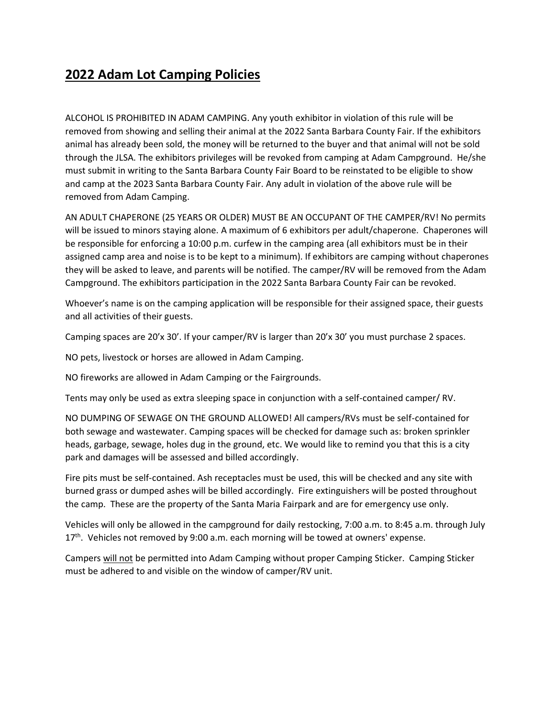## **2022 Adam Lot Camping Policies**

ALCOHOL IS PROHIBITED IN ADAM CAMPING. Any youth exhibitor in violation of this rule will be removed from showing and selling their animal at the 2022 Santa Barbara County Fair. If the exhibitors animal has already been sold, the money will be returned to the buyer and that animal will not be sold through the JLSA. The exhibitors privileges will be revoked from camping at Adam Campground. He/she must submit in writing to the Santa Barbara County Fair Board to be reinstated to be eligible to show and camp at the 2023 Santa Barbara County Fair. Any adult in violation of the above rule will be removed from Adam Camping.

AN ADULT CHAPERONE (25 YEARS OR OLDER) MUST BE AN OCCUPANT OF THE CAMPER/RV! No permits will be issued to minors staying alone. A maximum of 6 exhibitors per adult/chaperone. Chaperones will be responsible for enforcing a 10:00 p.m. curfew in the camping area (all exhibitors must be in their assigned camp area and noise is to be kept to a minimum). If exhibitors are camping without chaperones they will be asked to leave, and parents will be notified. The camper/RV will be removed from the Adam Campground. The exhibitors participation in the 2022 Santa Barbara County Fair can be revoked.

Whoever's name is on the camping application will be responsible for their assigned space, their guests and all activities of their guests.

Camping spaces are 20'x 30'. If your camper/RV is larger than 20'x 30' you must purchase 2 spaces.

NO pets, livestock or horses are allowed in Adam Camping.

NO fireworks are allowed in Adam Camping or the Fairgrounds.

Tents may only be used as extra sleeping space in conjunction with a self-contained camper/ RV.

NO DUMPING OF SEWAGE ON THE GROUND ALLOWED! All campers/RVs must be self-contained for both sewage and wastewater. Camping spaces will be checked for damage such as: broken sprinkler heads, garbage, sewage, holes dug in the ground, etc. We would like to remind you that this is a city park and damages will be assessed and billed accordingly.

Fire pits must be self-contained. Ash receptacles must be used, this will be checked and any site with burned grass or dumped ashes will be billed accordingly. Fire extinguishers will be posted throughout the camp. These are the property of the Santa Maria Fairpark and are for emergency use only.

Vehicles will only be allowed in the campground for daily restocking, 7:00 a.m. to 8:45 a.m. through July 17<sup>th</sup>. Vehicles not removed by 9:00 a.m. each morning will be towed at owners' expense.

Campers will not be permitted into Adam Camping without proper Camping Sticker. Camping Sticker must be adhered to and visible on the window of camper/RV unit.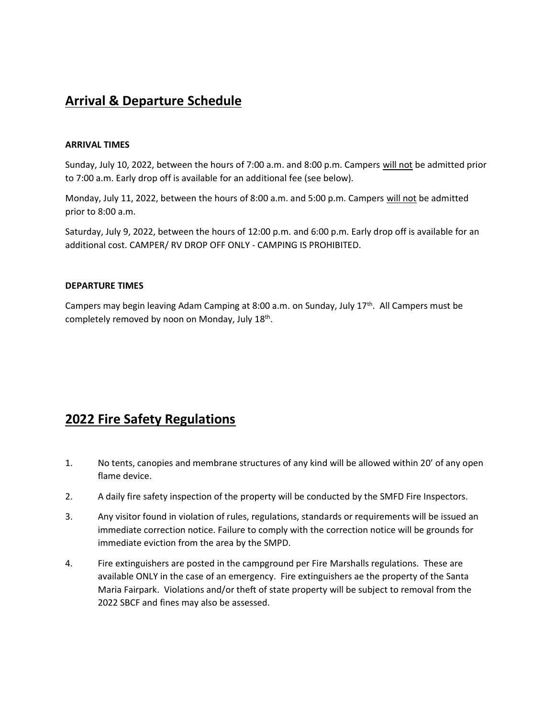## **Arrival & Departure Schedule**

#### **ARRIVAL TIMES**

Sunday, July 10, 2022, between the hours of 7:00 a.m. and 8:00 p.m. Campers will not be admitted prior to 7:00 a.m. Early drop off is available for an additional fee (see below).

Monday, July 11, 2022, between the hours of 8:00 a.m. and 5:00 p.m. Campers will not be admitted prior to 8:00 a.m.

Saturday, July 9, 2022, between the hours of 12:00 p.m. and 6:00 p.m. Early drop off is available for an additional cost. CAMPER/ RV DROP OFF ONLY - CAMPING IS PROHIBITED.

#### **DEPARTURE TIMES**

Campers may begin leaving Adam Camping at 8:00 a.m. on Sunday, July 17<sup>th</sup>. All Campers must be completely removed by noon on Monday, July 18<sup>th</sup>.

### **2022 Fire Safety Regulations**

- 1. No tents, canopies and membrane structures of any kind will be allowed within 20' of any open flame device.
- 2. A daily fire safety inspection of the property will be conducted by the SMFD Fire Inspectors.
- 3. Any visitor found in violation of rules, regulations, standards or requirements will be issued an immediate correction notice. Failure to comply with the correction notice will be grounds for immediate eviction from the area by the SMPD.
- 4. Fire extinguishers are posted in the campground per Fire Marshalls regulations. These are available ONLY in the case of an emergency. Fire extinguishers ae the property of the Santa Maria Fairpark. Violations and/or theft of state property will be subject to removal from the 2022 SBCF and fines may also be assessed.